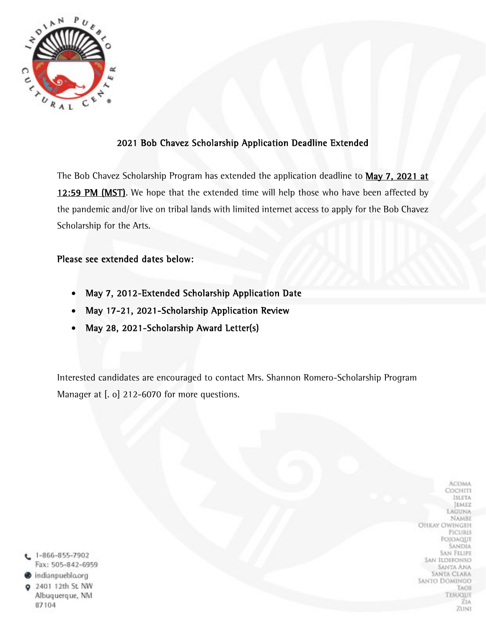

### 2021 Bob Chavez Scholarship Application Deadline Extended

The Bob Chavez Scholarship Program has extended the application deadline to May 7, 2021 at 12:59 PM (MST). We hope that the extended time will help those who have been affected by the pandemic and/or live on tribal lands with limited internet access to apply for the Bob Chavez Scholarship for the Arts.

#### Please see extended dates below:

- May 7, 2012-Extended Scholarship Application Date
- May 17-21, 2021-Scholarship Application Review
- May 28, 2021-Scholarship Award Letter(s)

Interested candidates are encouraged to contact Mrs. Shannon Romero-Scholarship Program Manager at [. o] 212-6070 for more questions.

 $L$  1-866-855-7902 Fax: 505-842-6959 indianpueblo.org 2401 12th St. NW Albuquerque, NM

87104

**ACOMA** СОСНІТІ **ISLETA JEMEZ** LAGUNA NAMBE **OHKAY OWINGEH PICURIS** POJOAQUE **SANDIA SAN FELIPE** SAN ILDEFONSO **SANTA ANA SANTA CLARA** SANTO DOMINGO **TAOS** TESUQUE ZIA ZUNI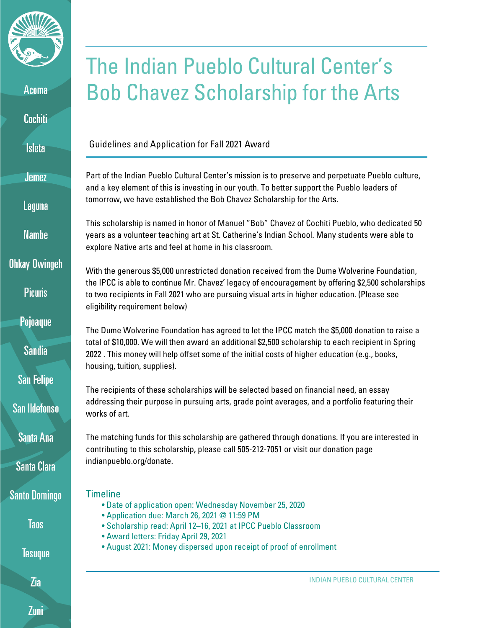

Acoma

**Cochiti** 

**Isleta** 

**Jemez** 

Laguna

**Namhe** 

**Ohkay Owingeh** 

**Picuris** 

Pojoaque

**Sandia** 

**San Felipe** 

San Ildefonso

Santa Ana

**Santa Clara** 

**Santo Domingo** 

**Taos** 

**Tesuque** 

Zia

# The Indian Pueblo Cultural Center's Bob Chavez Scholarship for the Arts

Guidelines and Application for Fall 2021 Award

Part of the Indian Pueblo Cultural Center's mission is to preserve and perpetuate Pueblo culture, and a key element of this is investing in our youth. To better support the Pueblo leaders of tomorrow, we have established the Bob Chavez Scholarship for the Arts.

This scholarship is named in honor of Manuel "Bob" Chavez of Cochiti Pueblo, who dedicated 50 years as a volunteer teaching art at St. Catherine's Indian School. Many students were able to explore Native arts and feel at home in his classroom.

With the generous \$5,000 unrestricted donation received from the Dume Wolverine Foundation, the IPCC is able to continue Mr. Chavez' legacy of encouragement by offering \$2,500 scholarships to two recipients in Fall 2021 who are pursuing visual arts in higher education. (Please see eligibility requirement below)

The Dume Wolverine Foundation has agreed to let the IPCC match the \$5,000 donation to raise a total of \$10,000. We will then award an additional \$2,500 scholarship to each recipient in Spring 2022 . This money will help offset some of the initial costs of higher education (e.g., books, housing, tuition, supplies).

The recipients of these scholarships will be selected based on financial need, an essay addressing their purpose in pursuing arts, grade point averages, and a portfolio featuring their works of art.

The matching funds for this scholarship are gathered through donations. If you are interested in contributing to this scholarship, please call 505-212-7051 or visit our donation page indianpueblo.org/donate.

## **Timeline**

- Date of application open: Wednesday November 25, 2020
- Application due: March 26, 2021 @ 11:59 PM
- Scholarship read: April 12–16, 2021 at IPCC Pueblo Classroom
- Award letters: Friday April 29, 2021
- August 2021: Money dispersed upon receipt of proof of enrollment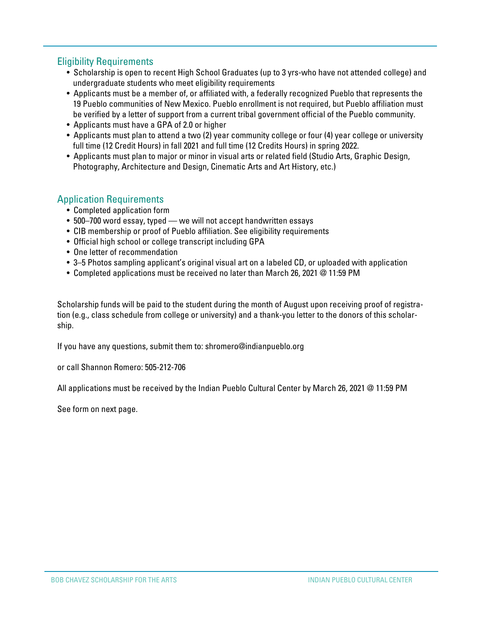### Eligibility Requirements

- Scholarship is open to recent High School Graduates (up to 3 yrs-who have not attended college) and undergraduate students who meet eligibility requirements
- Applicants must be a member of, or affiliated with, a federally recognized Pueblo that represents the 19 Pueblo communities of New Mexico. Pueblo enrollment is not required, but Pueblo affiliation must be verified by a letter of support from a current tribal government official of the Pueblo community.
- Applicants must have a GPA of 2.0 or higher
- Applicants must plan to attend a two (2) year community college or four (4) year college or university full time (12 Credit Hours) in fall 2021 and full time (12 Credits Hours) in spring 2022.
- Applicants must plan to major or minor in visual arts or related field (Studio Arts, Graphic Design, Photography, Architecture and Design, Cinematic Arts and Art History, etc.)

## Application Requirements

- Completed application form
- 500–700 word essay, typed we will not accept handwritten essays
- CIB membership or proof of Pueblo affiliation. See eligibility requirements
- Official high school or college transcript including GPA
- One letter of recommendation
- 3–5 Photos sampling applicant's original visual art on a labeled CD, or uploaded with application
- Completed applications must be received no later than March 26, 2021 @ 11:59 PM

Scholarship funds will be paid to the student during the month of August upon receiving proof of registration (e.g., class schedule from college or university) and a thank-you letter to the donors of this scholarship.

If you have any questions, submit them to: shromero@indianpueblo.org

or call Shannon Romero: 505-212-706

All applications must be received by the Indian Pueblo Cultural Center by March 26, 2021 @ 11:59 PM

See form on next page.